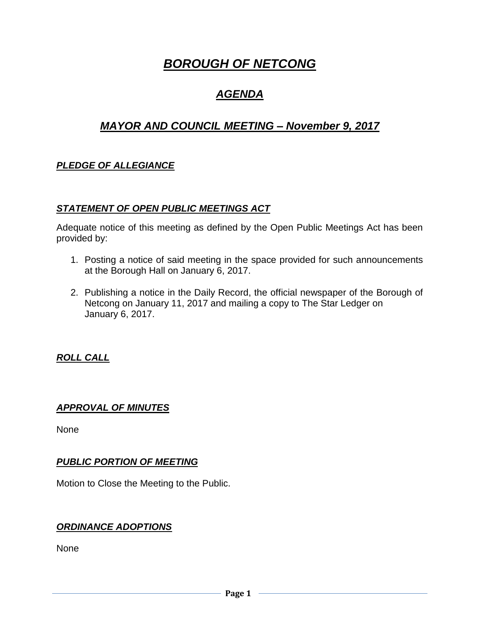# *BOROUGH OF NETCONG*

# *AGENDA*

# *MAYOR AND COUNCIL MEETING – November 9, 2017*

### *PLEDGE OF ALLEGIANCE*

#### *STATEMENT OF OPEN PUBLIC MEETINGS ACT*

Adequate notice of this meeting as defined by the Open Public Meetings Act has been provided by:

- 1. Posting a notice of said meeting in the space provided for such announcements at the Borough Hall on January 6, 2017.
- 2. Publishing a notice in the Daily Record, the official newspaper of the Borough of Netcong on January 11, 2017 and mailing a copy to The Star Ledger on January 6, 2017.

#### *ROLL CALL*

#### *APPROVAL OF MINUTES*

None

#### *PUBLIC PORTION OF MEETING*

Motion to Close the Meeting to the Public.

#### *ORDINANCE ADOPTIONS*

None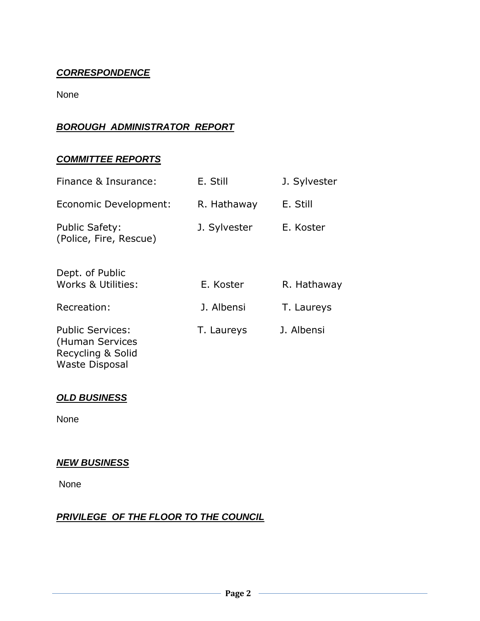# *CORRESPONDENCE*

None

## *BOROUGH ADMINISTRATOR REPORT*

#### *COMMITTEE REPORTS*

| Finance & Insurance:                                                                     | E. Still     | J. Sylvester |
|------------------------------------------------------------------------------------------|--------------|--------------|
| Economic Development:                                                                    | R. Hathaway  | E. Still     |
| <b>Public Safety:</b><br>(Police, Fire, Rescue)                                          | J. Sylvester | E. Koster    |
| Dept. of Public<br>Works & Utilities:                                                    | E. Koster    | R. Hathaway  |
| Recreation:                                                                              | J. Albensi   | T. Laureys   |
| <b>Public Services:</b><br>(Human Services<br>Recycling & Solid<br><b>Waste Disposal</b> | T. Laureys   | J. Albensi   |

#### *OLD BUSINESS*

None

#### *NEW BUSINESS*

None

# *PRIVILEGE OF THE FLOOR TO THE COUNCIL*